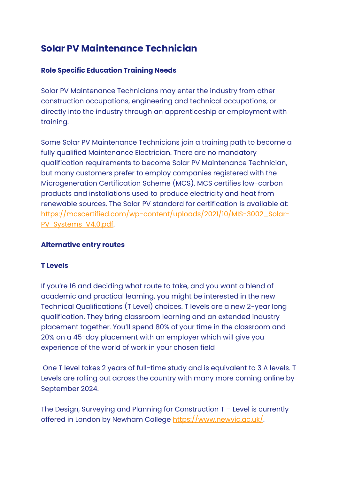# **Solar PV Maintenance Technician**

# **Role Specific Education Training Needs**

Solar PV Maintenance Technicians may enter the industry from other construction occupations, engineering and technical occupations, or directly into the industry through an apprenticeship or employment with training.

Some Solar PV Maintenance Technicians join a training path to become a fully qualified Maintenance Electrician. There are no mandatory qualification requirements to become Solar PV Maintenance Technician, but many customers prefer to employ companies registered with the Microgeneration Certification Scheme (MCS). MCS certifies low-carbon products and installations used to produce electricity and heat from renewable sources. The Solar PV standard for certification is available at: [https://mcscertified.com/wp-content/uploads/2021/10/MIS-3002\\_Solar-](https://mcscertified.com/wp-content/uploads/2021/10/MIS-3002_Solar-PV-Systems-V4.0.pdf)[PV-Systems-V4.0.pdf.](https://mcscertified.com/wp-content/uploads/2021/10/MIS-3002_Solar-PV-Systems-V4.0.pdf)

## **Alternative entry routes**

## **T Levels**

If you're 16 and deciding what route to take, and you want a blend of academic and practical learning, you might be interested in the new Technical Qualifications (T Level) choices. T levels are a new 2-year long qualification. They bring classroom learning and an extended industry placement together. You'll spend 80% of your time in the classroom and 20% on a 45-day placement with an employer which will give you experience of the world of work in your chosen field

One T level takes 2 years of full-time study and is equivalent to 3 A levels. T Levels are rolling out across the country with many more coming online by September 2024.

The Design, Surveying and Planning for Construction T – Level is currently offered in London by Newham College [https://www.newvic.ac.uk/.](https://www.newvic.ac.uk/)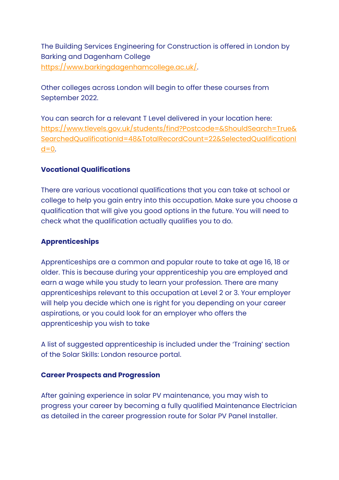The Building Services Engineering for Construction is offered in London by Barking and Dagenham College [https://www.barkingdagenhamcollege.ac.uk/.](https://www.barkingdagenhamcollege.ac.uk/)

Other colleges across London will begin to offer these courses from September 2022.

You can search for a relevant T Level delivered in your location here: [https://www.tlevels.gov.uk/students/find?Postcode=&ShouldSearch=True&](https://www.tlevels.gov.uk/students/find?Postcode=&ShouldSearch=True&SearchedQualificationId=48&TotalRecordCount=22&SelectedQualificationId=0) [SearchedQualificationId=48&TotalRecordCount=22&SelectedQualificationI](https://www.tlevels.gov.uk/students/find?Postcode=&ShouldSearch=True&SearchedQualificationId=48&TotalRecordCount=22&SelectedQualificationId=0)  $d=0$ .

### **Vocational Qualifications**

There are various vocational qualifications that you can take at school or college to help you gain entry into this occupation. Make sure you choose a qualification that will give you good options in the future. You will need to check what the qualification actually qualifies you to do.

## **Apprenticeships**

Apprenticeships are a common and popular route to take at age 16, 18 or older. This is because during your apprenticeship you are employed and earn a wage while you study to learn your profession. There are many apprenticeships relevant to this occupation at Level 2 or 3. Your employer will help you decide which one is right for you depending on your career aspirations, or you could look for an employer who offers the apprenticeship you wish to take

A list of suggested apprenticeship is included under the 'Training' section of the Solar Skills: London resource portal.

#### **Career Prospects and Progression**

After gaining experience in solar PV maintenance, you may wish to progress your career by becoming a fully qualified Maintenance Electrician as detailed in the career progression route for Solar PV Panel Installer.